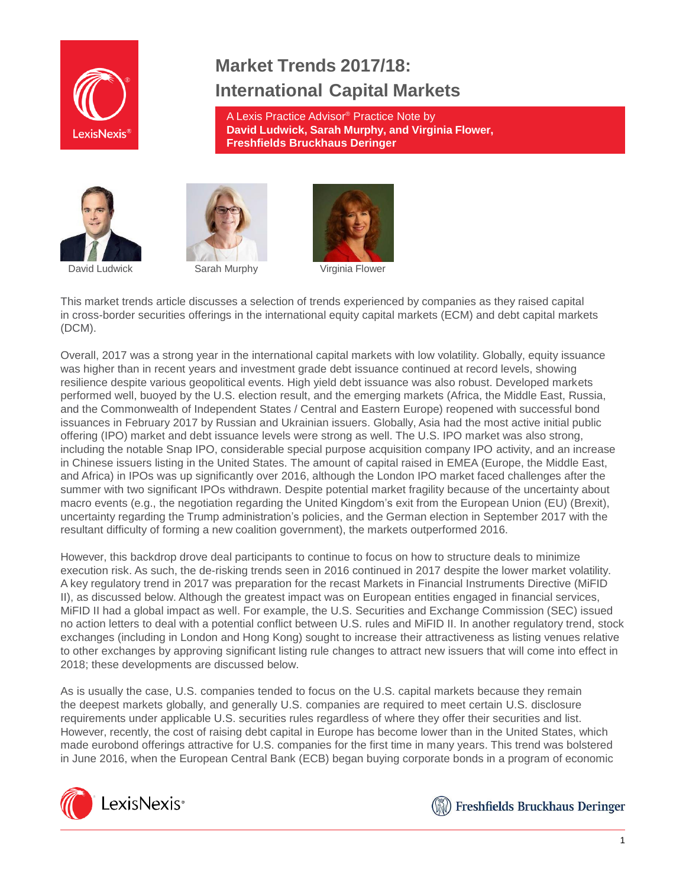

# **Market Trends 2017/18: International Capital Markets**

A Lexis Practice Advisor® Practice Note by **David Ludwick, Sarah Murphy, and Virginia Flower, Freshfields Bruckhaus Deringer**







This market trends article discusses a selection of trends experienced by companies as they raised capital in cross-border securities offerings in the international equity capital markets (ECM) and debt capital markets (DCM).

Overall, 2017 was a strong year in the international capital markets with low volatility. Globally, equity issuance was higher than in recent years and investment grade debt issuance continued at record levels, showing resilience despite various geopolitical events. High yield debt issuance was also robust. Developed markets performed well, buoyed by the U.S. election result, and the emerging markets (Africa, the Middle East, Russia, and the Commonwealth of Independent States / Central and Eastern Europe) reopened with successful bond issuances in February 2017 by Russian and Ukrainian issuers. Globally, Asia had the most active initial public offering (IPO) market and debt issuance levels were strong as well. The U.S. IPO market was also strong, including the notable Snap IPO, considerable special purpose acquisition company IPO activity, and an increase in Chinese issuers listing in the United States. The amount of capital raised in EMEA (Europe, the Middle East, and Africa) in IPOs was up significantly over 2016, although the London IPO market faced challenges after the summer with two significant IPOs withdrawn. Despite potential market fragility because of the uncertainty about macro events (e.g., the negotiation regarding the United Kingdom's exit from the European Union (EU) (Brexit), uncertainty regarding the Trump administration's policies, and the German election in September 2017 with the resultant difficulty of forming a new coalition government), the markets outperformed 2016.

However, this backdrop drove deal participants to continue to focus on how to structure deals to minimize execution risk. As such, the de-risking trends seen in 2016 continued in 2017 despite the lower market volatility. A key regulatory trend in 2017 was preparation for the recast Markets in Financial Instruments Directive (MiFID II), as discussed below. Although the greatest impact was on European entities engaged in financial services, MiFID II had a global impact as well. For example, the U.S. Securities and Exchange Commission (SEC) issued no action letters to deal with a potential conflict between U.S. rules and MiFID II. In another regulatory trend, stock exchanges (including in London and Hong Kong) sought to increase their attractiveness as listing venues relative to other exchanges by approving significant listing rule changes to attract new issuers that will come into effect in 2018; these developments are discussed below.

As is usually the case, U.S. companies tended to focus on the U.S. capital markets because they remain the deepest markets globally, and generally U.S. companies are required to meet certain U.S. disclosure requirements under applicable U.S. securities rules regardless of where they offer their securities and list. However, recently, the cost of raising debt capital in Europe has become lower than in the United States, which made eurobond offerings attractive for U.S. companies for the first time in many years. This trend was bolstered in June 2016, when the European Central Bank (ECB) began buying corporate bonds in a program of economic



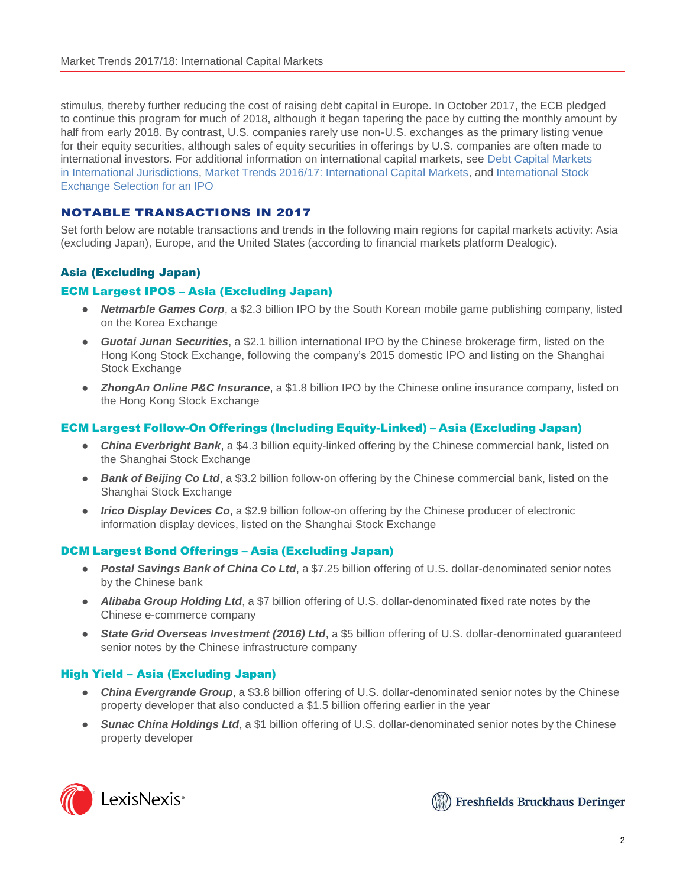stimulus, thereby further reducing the cost of raising debt capital in Europe. In October 2017, the ECB pledged to continue this program for much of 2018, although it began tapering the pace by cutting the monthly amount by half from early 2018. By contrast, U.S. companies rarely use non-U.S. exchanges as the primary listing venue for their equity securities, although sales of equity securities in offerings by U.S. companies are often made to international investors. For additional information on international capital markets, see [Debt Capital Markets](https://advance.lexis.com/open/document/lpadocument/?pdmfid=1000522&crid=cfe31837-e21e-474d-94c6-be0f7ca6b897&pddocfullpath=%2Fshared%2Fdocument%2Fanalytical-materials%2Furn%3AcontentItem%3A5K4C-P781-JJ1H-X2MM-00000-00&pddocid=urn%3AcontentItem%3A5K4C-P781-JJ1H-X2MM-00000-00&pdcontentcomponentid=101206&pdteaserkey=sr0&pditab=allpods&ecomp=k8_g&earg=sr0&prid=f706dd10-0904-4c51-92fe-06bd9e2de81e) in [International Jurisdictions,](https://advance.lexis.com/open/document/lpadocument/?pdmfid=1000522&crid=cfe31837-e21e-474d-94c6-be0f7ca6b897&pddocfullpath=%2Fshared%2Fdocument%2Fanalytical-materials%2Furn%3AcontentItem%3A5K4C-P781-JJ1H-X2MM-00000-00&pddocid=urn%3AcontentItem%3A5K4C-P781-JJ1H-X2MM-00000-00&pdcontentcomponentid=101206&pdteaserkey=sr0&pditab=allpods&ecomp=k8_g&earg=sr0&prid=f706dd10-0904-4c51-92fe-06bd9e2de81e) Market Trends [2016/17: International Capital Markets,](https://advance.lexis.com/open/document/lpadocument/?pdmfid=1000522&crid=c2d64275-e7bd-42ca-82b1-2ba0e6c86c91&pddocfullpath=%2Fshared%2Fdocument%2Fanalytical-materials%2Furn%3AcontentItem%3A5S19-G9J1-JSRM-64F9-00000-00&pddocid=urn%3AcontentItem%3A5S19-G9J1-JSRM-64F9-00000-00&pdcontentcomponentid=101206&pdteaserkey=sr0&pditab=allpods&ecomp=k8_g&earg=sr0&prid=612b0255-b449-498a-9e4e-66517cc84446) and [International](https://advance.lexis.com/open/document/lpadocument/?pdmfid=1000522&crid=088ddb8a-3ae9-41a2-8b84-f0760be2e1b9&pddocfullpath=%2Fshared%2Fdocument%2Fanalytical-materials%2Furn%3AcontentItem%3A5PTB-HV91-JKHB-64T5-00000-00&pddocid=urn%3AcontentItem%3A5PTB-HV91-JKHB-64T5-00000-00&pdcontentcomponentid=101206&pdteaserkey=sr0&pditab=allpods&ecomp=k8_g&earg=sr0&prid=1fa91261-9f27-4d5d-a970-78c075e843d3) Stock [Exchange Selection for an IPO](https://advance.lexis.com/open/document/lpadocument/?pdmfid=1000522&crid=088ddb8a-3ae9-41a2-8b84-f0760be2e1b9&pddocfullpath=%2Fshared%2Fdocument%2Fanalytical-materials%2Furn%3AcontentItem%3A5PTB-HV91-JKHB-64T5-00000-00&pddocid=urn%3AcontentItem%3A5PTB-HV91-JKHB-64T5-00000-00&pdcontentcomponentid=101206&pdteaserkey=sr0&pditab=allpods&ecomp=k8_g&earg=sr0&prid=1fa91261-9f27-4d5d-a970-78c075e843d3)

## NOTABLE TRANSACTIONS IN 2017

Set forth below are notable transactions and trends in the following main regions for capital markets activity: Asia (excluding Japan), Europe, and the United States (according to financial markets platform Dealogic).

# Asia (Excluding Japan)

#### ECM Largest IPOS – Asia (Excluding Japan)

- *Netmarble Games Corp*, a \$2.3 billion IPO by the South Korean mobile game publishing company, listed on the Korea Exchange
- *Guotai Junan Securities*, a \$2.1 billion international IPO by the Chinese brokerage firm, listed on the Hong Kong Stock Exchange, following the company's 2015 domestic IPO and listing on the Shanghai Stock Exchange
- *ZhongAn Online P&C Insurance*, a \$1.8 billion IPO by the Chinese online insurance company, listed on the Hong Kong Stock Exchange

## ECM Largest Follow-On Offerings (Including Equity-Linked) – Asia (Excluding Japan)

- *China Everbright Bank*, a \$4.3 billion equity-linked offering by the Chinese commercial bank, listed on the Shanghai Stock Exchange
- *Bank of Beijing Co Ltd*, a \$3.2 billion follow-on offering by the Chinese commercial bank, listed on the Shanghai Stock Exchange
- *Irico Display Devices Co*, a \$2.9 billion follow-on offering by the Chinese producer of electronic information display devices, listed on the Shanghai Stock Exchange

#### DCM Largest Bond Offerings – Asia (Excluding Japan)

- *Postal Savings Bank of China Co Ltd*, a \$7.25 billion offering of U.S. dollar-denominated senior notes by the Chinese bank
- *Alibaba Group Holding Ltd*, a \$7 billion offering of U.S. dollar-denominated fixed rate notes by the Chinese e-commerce company
- *State Grid Overseas Investment (2016) Ltd*, a \$5 billion offering of U.S. dollar-denominated guaranteed senior notes by the Chinese infrastructure company

#### High Yield – Asia (Excluding Japan)

- *China Evergrande Group*, a \$3.8 billion offering of U.S. dollar-denominated senior notes by the Chinese property developer that also conducted a \$1.5 billion offering earlier in the year
- *Sunac China Holdings Ltd*, a \$1 billion offering of U.S. dollar-denominated senior notes by the Chinese property developer



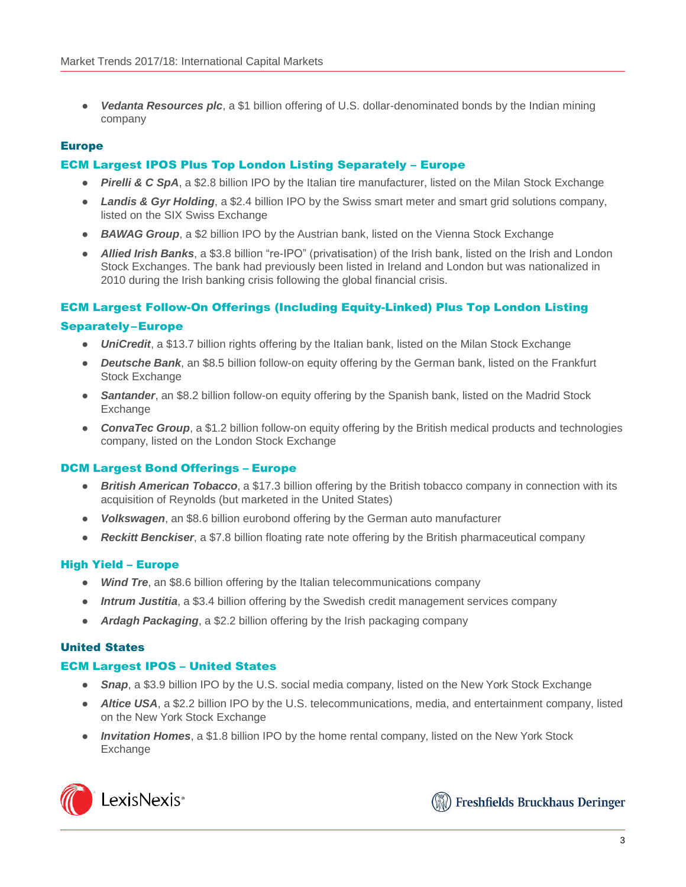● *Vedanta Resources plc*, a \$1 billion offering of U.S. dollar-denominated bonds by the Indian mining company

## Europe

## ECM Largest IPOS Plus Top London Listing Separately – Europe

- *Pirelli & C SpA*, a \$2.8 billion IPO by the Italian tire manufacturer, listed on the Milan Stock Exchange
- *Landis & Gyr Holding*, a \$2.4 billion IPO by the Swiss smart meter and smart grid solutions company, listed on the SIX Swiss Exchange
- **BAWAG Group**, a \$2 billion IPO by the Austrian bank, listed on the Vienna Stock Exchange
- *Allied Irish Banks*, a \$3.8 billion "re-IPO" (privatisation) of the Irish bank, listed on the Irish and London Stock Exchanges. The bank had previously been listed in Ireland and London but was nationalized in 2010 during the Irish banking crisis following the global financial crisis.

## ECM Largest Follow-On Offerings (Including Equity-Linked) Plus Top London Listing

#### Separately–Europe

- *UniCredit*, a \$13.7 billion rights offering by the Italian bank, listed on the Milan Stock Exchange
- *Deutsche Bank*, an \$8.5 billion follow-on equity offering by the German bank, listed on the Frankfurt Stock Exchange
- **Santander**, an \$8.2 billion follow-on equity offering by the Spanish bank, listed on the Madrid Stock **Exchange**
- *ConvaTec Group*, a \$1.2 billion follow-on equity offering by the British medical products and technologies company, listed on the London Stock Exchange

## DCM Largest Bond Offerings – Europe

- *British American Tobacco*, a \$17.3 billion offering by the British tobacco company in connection with its acquisition of Reynolds (but marketed in the United States)
- *Volkswagen*, an \$8.6 billion eurobond offering by the German auto manufacturer
- *Reckitt Benckiser*, a \$7.8 billion floating rate note offering by the British pharmaceutical company

## High Yield – Europe

- *Wind Tre*, an \$8.6 billion offering by the Italian telecommunications company
- *Intrum Justitia*, a \$3.4 billion offering by the Swedish credit management services company
- *Ardagh Packaging*, a \$2.2 billion offering by the Irish packaging company

## United States

## ECM Largest IPOS – United States

- **Snap**, a \$3.9 billion IPO by the U.S. social media company, listed on the New York Stock Exchange
- *Altice USA*, a \$2.2 billion IPO by the U.S. telecommunications, media, and entertainment company, listed on the New York Stock Exchange
- *Invitation Homes*, a \$1.8 billion IPO by the home rental company, listed on the New York Stock Exchange



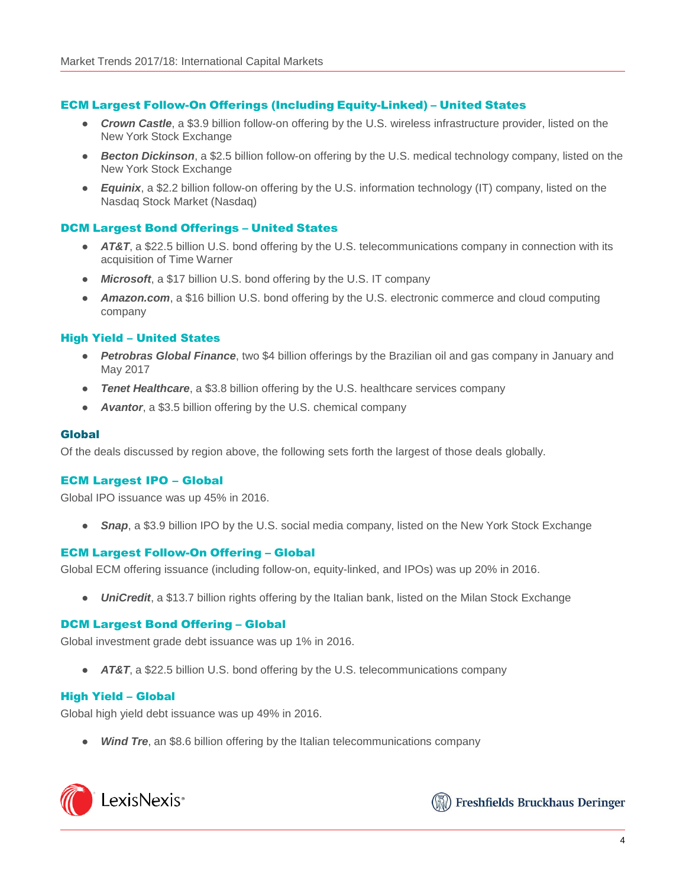## ECM Largest Follow-On Offerings (Including Equity-Linked) – United States

- *Crown Castle*, a \$3.9 billion follow-on offering by the U.S. wireless infrastructure provider, listed on the New York Stock Exchange
- *Becton Dickinson*, a \$2.5 billion follow-on offering by the U.S. medical technology company, listed on the New York Stock Exchange
- *Equinix*, a \$2.2 billion follow-on offering by the U.S. information technology (IT) company, listed on the Nasdaq Stock Market (Nasdaq)

#### DCM Largest Bond Offerings – United States

- *AT&T*, a \$22.5 billion U.S. bond offering by the U.S. telecommunications company in connection with its acquisition of Time Warner
- *Microsoft*, a \$17 billion U.S. bond offering by the U.S. IT company
- **Amazon.com**, a \$16 billion U.S. bond offering by the U.S. electronic commerce and cloud computing company

#### High Yield – United States

- *Petrobras Global Finance*, two \$4 billion offerings by the Brazilian oil and gas company in January and May 2017
- *Tenet Healthcare*, a \$3.8 billion offering by the U.S. healthcare services company
- Avantor, a \$3.5 billion offering by the U.S. chemical company

#### Global

Of the deals discussed by region above, the following sets forth the largest of those deals globally.

#### ECM Largest IPO – Global

Global IPO issuance was up 45% in 2016.

**Snap**, a \$3.9 billion IPO by the U.S. social media company, listed on the New York Stock Exchange

#### ECM Largest Follow-On Offering – Global

Global ECM offering issuance (including follow-on, equity-linked, and IPOs) was up 20% in 2016.

● *UniCredit*, a \$13.7 billion rights offering by the Italian bank, listed on the Milan Stock Exchange

#### DCM Largest Bond Offering – Global

Global investment grade debt issuance was up 1% in 2016.

● *AT&T*, a \$22.5 billion U.S. bond offering by the U.S. telecommunications company

## High Yield – Global

Global high yield debt issuance was up 49% in 2016.

**Wind Tre**, an \$8.6 billion offering by the Italian telecommunications company



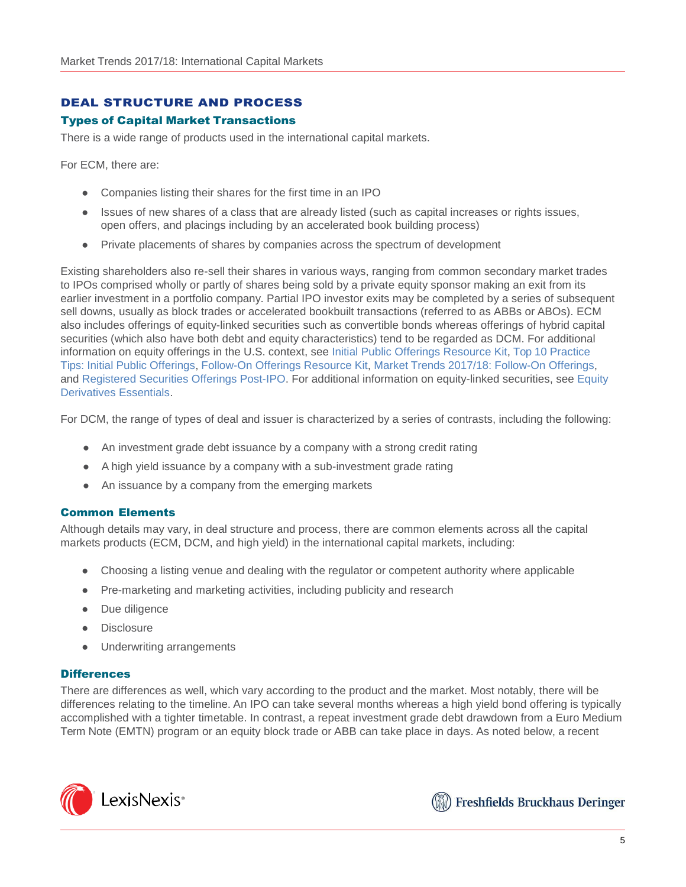# DEAL STRUCTURE AND PROCESS

## Types of Capital Market Transactions

There is a wide range of products used in the international capital markets.

For ECM, there are:

- Companies listing their shares for the first time in an IPO
- Issues of new shares of a class that are already listed (such as capital increases or rights issues, open offers, and placings including by an accelerated book building process)
- Private placements of shares by companies across the spectrum of development

Existing shareholders also re-sell their shares in various ways, ranging from common secondary market trades to IPOs comprised wholly or partly of shares being sold by a private equity sponsor making an exit from its earlier investment in a portfolio company. Partial IPO investor exits may be completed by a series of subsequent sell downs, usually as block trades or accelerated bookbuilt transactions (referred to as ABBs or ABOs). ECM also includes offerings of equity-linked securities such as convertible bonds whereas offerings of hybrid capital securities (which also have both debt and equity characteristics) tend to be regarded as DCM. For additional information on equity offerings in the U.S. context, see Initial Public Offerings [Resource](https://advance.lexis.com/open/document/lpadocument/?pdmfid=1000522&crid=e09b4dd3-5758-4a03-a6e1-0fd1c12e4e94&pddocfullpath=%2Fshared%2Fdocument%2Fanalytical-materials%2Furn%3AcontentItem%3A5MM6-CB71-K054-G29X-00000-00&pddocid=urn%3AcontentItem%3A5MM6-CB71-K054-G29X-00000-00&pdcontentcomponentid=101206&pdteaserkey=sr0&pditab=allpods&ecomp=k8_g&earg=sr0&prid=87945e66-4c3c-4e4c-9c9f-1100b992e3a6) Kit, Top 10 [Practice](https://advance.lexis.com/open/document/lpadocument/?pdmfid=1000522&crid=be988bfb-a1aa-497a-9db3-c1a8a03b0331&pddocfullpath=%2Fshared%2Fdocument%2Fanalytical-materials%2Furn%3AcontentItem%3A5P75-BTF1-F22N-X2S2-00000-00&pddocid=urn%3AcontentItem%3A5P75-BTF1-F22N-X2S2-00000-00&pdcontentcomponentid=101206&pdteaserkey=sr0&pditab=allpods&ecomp=k8_g&earg=sr0&prid=111c9ede-4ce4-4b3c-96a6-1d6058234bf9) Tips: Initial Public [Offerings,](https://advance.lexis.com/open/document/lpadocument/?pdmfid=1000522&crid=be988bfb-a1aa-497a-9db3-c1a8a03b0331&pddocfullpath=%2Fshared%2Fdocument%2Fanalytical-materials%2Furn%3AcontentItem%3A5P75-BTF1-F22N-X2S2-00000-00&pddocid=urn%3AcontentItem%3A5P75-BTF1-F22N-X2S2-00000-00&pdcontentcomponentid=101206&pdteaserkey=sr0&pditab=allpods&ecomp=k8_g&earg=sr0&prid=111c9ede-4ce4-4b3c-96a6-1d6058234bf9) [Follow-On](https://advance.lexis.com/open/document/lpadocument/?pdmfid=1000522&crid=bc522f79-401e-434b-b30c-57a90897a229&pddocfullpath=%2Fshared%2Fdocument%2Fanalytical-materials%2Furn%3AcontentItem%3A5MKY-5RH1-JBDT-B16F-00000-00&pddocid=urn%3AcontentItem%3A5MKY-5RH1-JBDT-B16F-00000-00&pdcontentcomponentid=101206&pdteaserkey=sr0&pditab=allpods&ecomp=k8_g&earg=sr0&prid=768ab7c5-e78f-46de-aa22-3514f9d3130f) Offerings Resource Kit, Market [Trends 2017/18:](https://advance.lexis.com/open/document/lpadocument/?pdmfid=1000522&crid=22572bbf-2993-4066-a9fd-4180364be803&pddocfullpath=%2Fshared%2Fdocument%2Fanalytical-materials%2Furn%3AcontentItem%3A5SB2-9V81-F4GK-M3HD-00000-00&pddocid=urn%3AcontentItem%3A5SB2-9V81-F4GK-M3HD-00000-00&pdcontentcomponentid=101206&pdteaserkey=sr0&pditab=allpods&ecomp=k8_g&earg=sr0&prid=ac27ae68-beaf-4073-a183-a620331303f9) Follow-On Offerings, and Registered Securities [Offerings Post-IPO.](https://advance.lexis.com/open/document/lpadocument/?pdmfid=1000522&crid=03319134-2e4e-4d9c-8dc9-0cb32008ea0c&pddocfullpath=%2Fshared%2Fdocument%2Fanalytical-materials%2Furn%3AcontentItem%3A576Y-2CH1-DXPM-S029-00000-00&pddocid=urn%3AcontentItem%3A576Y-2CH1-DXPM-S029-00000-00&pdcontentcomponentid=101206&pdteaserkey=sr0&pditab=allpods&ecomp=k8_g&earg=sr0&prid=6b423de7-2f7c-4bbd-9a85-c36d5c8366a9) For additional information on equity-linked securities, see [Equity](https://advance.lexis.com/open/document/lpadocument/?pdmfid=1000522&crid=d1c48d4b-111e-4776-87ad-ba420e38c0b2&pddocfullpath=%2Fshared%2Fdocument%2Fanalytical-materials%2Furn%3AcontentItem%3A5B39-NP61-FK0M-S4DJ-00000-00&pddocid=urn%3AcontentItem%3A5B39-NP61-FK0M-S4DJ-00000-00&pdcontentcomponentid=126166&pdteaserkey=sr0&pditab=allpods&ecomp=k8_g&earg=sr0&prid=6c02d301-1812-406a-8d8b-045d73d25a4b) [Derivatives Essentials.](https://advance.lexis.com/open/document/lpadocument/?pdmfid=1000522&crid=d1c48d4b-111e-4776-87ad-ba420e38c0b2&pddocfullpath=%2Fshared%2Fdocument%2Fanalytical-materials%2Furn%3AcontentItem%3A5B39-NP61-FK0M-S4DJ-00000-00&pddocid=urn%3AcontentItem%3A5B39-NP61-FK0M-S4DJ-00000-00&pdcontentcomponentid=126166&pdteaserkey=sr0&pditab=allpods&ecomp=k8_g&earg=sr0&prid=6c02d301-1812-406a-8d8b-045d73d25a4b)

For DCM, the range of types of deal and issuer is characterized by a series of contrasts, including the following:

- An investment grade debt issuance by a company with a strong credit rating
- A high yield issuance by a company with a sub-investment grade rating
- An issuance by a company from the emerging markets

#### Common Elements

Although details may vary, in deal structure and process, there are common elements across all the capital markets products (ECM, DCM, and high yield) in the international capital markets, including:

- Choosing a listing venue and dealing with the regulator or competent authority where applicable
- Pre-marketing and marketing activities, including publicity and research
- Due diligence
- Disclosure
- Underwriting arrangements

#### **Differences**

There are differences as well, which vary according to the product and the market. Most notably, there will be differences relating to the timeline. An IPO can take several months whereas a high yield bond offering is typically accomplished with a tighter timetable. In contrast, a repeat investment grade debt drawdown from a Euro Medium Term Note (EMTN) program or an equity block trade or ABB can take place in days. As noted below, a recent



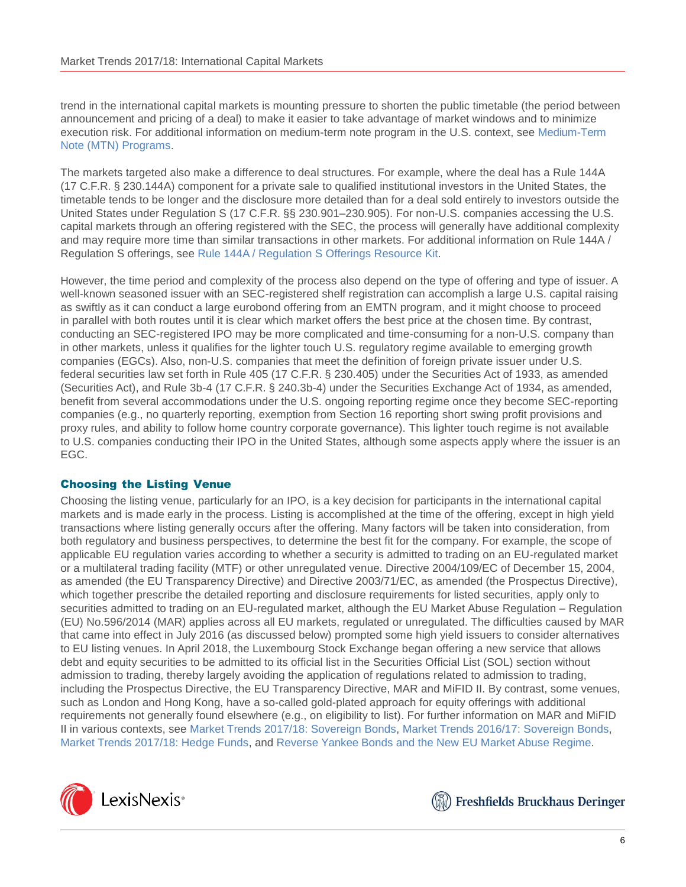trend in the international capital markets is mounting pressure to shorten the public timetable (the period between announcement and pricing of a deal) to make it easier to take advantage of market windows and to minimize execution risk. For additional information on medium-term note program in the U.S. context, see [Medium-Term](https://advance.lexis.com/open/document/lpadocument/?pdmfid=1000522&crid=5586edeb-eb28-460a-b0e6-25b1c8a386ee&pddocfullpath=%2Fshared%2Fdocument%2Fanalytical-materials%2Furn%3AcontentItem%3A5M1J-0R01-F873-B446-00000-00&pddocid=urn%3AcontentItem%3A5M1J-0R01-F873-B446-00000-00&pdcontentcomponentid=101206&pdteaserkey=sr0&pditab=allpods&ecomp=k8_g&earg=sr0&prid=f53a5ea5-5196-4e65-8197-0d4c38ee2d36) [Note \(MTN\) Programs.](https://advance.lexis.com/open/document/lpadocument/?pdmfid=1000522&crid=5586edeb-eb28-460a-b0e6-25b1c8a386ee&pddocfullpath=%2Fshared%2Fdocument%2Fanalytical-materials%2Furn%3AcontentItem%3A5M1J-0R01-F873-B446-00000-00&pddocid=urn%3AcontentItem%3A5M1J-0R01-F873-B446-00000-00&pdcontentcomponentid=101206&pdteaserkey=sr0&pditab=allpods&ecomp=k8_g&earg=sr0&prid=f53a5ea5-5196-4e65-8197-0d4c38ee2d36)

The markets targeted also make a difference to deal structures. For example, where the deal has a Rule 144A (17 C.F.R. § 230.144A) component for a private sale to qualified institutional investors in the United States, the timetable tends to be longer and the disclosure more detailed than for a deal sold entirely to investors outside the United States under Regulation S (17 C.F.R. §§ 230.901–230.905). For non-U.S. companies accessing the U.S. capital markets through an offering registered with the SEC, the process will generally have additional complexity and may require more time than similar transactions in other markets. For additional information on Rule 144A / Regulation S offerings, see Rule 144A / [Regulation](https://advance.lexis.com/open/document/lpadocument/?pdmfid=1000522&crid=5e9ed029-c166-4f3d-846c-da2e5c6f47e8&pddocfullpath=%2Fshared%2Fdocument%2Fanalytical-materials%2Furn%3AcontentItem%3A5P75-BTF1-F22N-X2S5-00000-00&pddocid=urn%3AcontentItem%3A5P75-BTF1-F22N-X2S5-00000-00&pdcontentcomponentid=101206&pdteaserkey=sr0&pditab=allpods&ecomp=k8_g&earg=sr0&prid=42bcd77d-09e2-4737-801f-1cb5cf2f467c) S Offerings Resource Kit.

However, the time period and complexity of the process also depend on the type of offering and type of issuer. A well-known seasoned issuer with an SEC-registered shelf registration can accomplish a large U.S. capital raising as swiftly as it can conduct a large eurobond offering from an EMTN program, and it might choose to proceed in parallel with both routes until it is clear which market offers the best price at the chosen time. By contrast, conducting an SEC-registered IPO may be more complicated and time-consuming for a non-U.S. company than in other markets, unless it qualifies for the lighter touch U.S. regulatory regime available to emerging growth companies (EGCs). Also, non-U.S. companies that meet the definition of foreign private issuer under U.S. federal securities law set forth in Rule 405 (17 C.F.R. § 230.405) under the Securities Act of 1933, as amended (Securities Act), and Rule 3b-4 (17 C.F.R. § 240.3b-4) under the Securities Exchange Act of 1934, as amended, benefit from several accommodations under the U.S. ongoing reporting regime once they become SEC-reporting companies (e.g., no quarterly reporting, exemption from Section 16 reporting short swing profit provisions and proxy rules, and ability to follow home country corporate governance). This lighter touch regime is not available to U.S. companies conducting their IPO in the United States, although some aspects apply where the issuer is an EGC.

## Choosing the Listing Venue

Choosing the listing venue, particularly for an IPO, is a key decision for participants in the international capital markets and is made early in the process. Listing is accomplished at the time of the offering, except in high yield transactions where listing generally occurs after the offering. Many factors will be taken into consideration, from both regulatory and business perspectives, to determine the best fit for the company. For example, the scope of applicable EU regulation varies according to whether a security is admitted to trading on an EU-regulated market or a multilateral trading facility (MTF) or other unregulated venue. Directive 2004/109/EC of December 15, 2004, as amended (the EU Transparency Directive) and Directive 2003/71/EC, as amended (the Prospectus Directive), which together prescribe the detailed reporting and disclosure requirements for listed securities, apply only to securities admitted to trading on an EU-regulated market, although the EU Market Abuse Regulation – Regulation (EU) No.596/2014 (MAR) applies across all EU markets, regulated or unregulated. The difficulties caused by MAR that came into effect in July 2016 (as discussed below) prompted some high yield issuers to consider alternatives to EU listing venues. In April 2018, the Luxembourg Stock Exchange began offering a new service that allows debt and equity securities to be admitted to its official list in the Securities Official List (SOL) section without admission to trading, thereby largely avoiding the application of regulations related to admission to trading, including the Prospectus Directive, the EU Transparency Directive, MAR and MiFID II. By contrast, some venues, such as London and Hong Kong, have a so-called gold-plated approach for equity offerings with additional requirements not generally found elsewhere (e.g., on eligibility to list). For further information on MAR and MiFID II in various contexts, see Market Trends [2017/18: Sovereign Bonds,](https://advance.lexis.com/open/document/lpadocument/?pdmfid=1000522&crid=a5c8f43a-4476-4c54-9b08-e8c225b65d28&pddocfullpath=%2Fshared%2Fdocument%2Fanalytical-materials%2Furn%3AcontentItem%3A5S7W-6W71-JGHR-M29Y-00000-00&pddocid=urn%3AcontentItem%3A5S7W-6W71-JGHR-M29Y-00000-00&pdcontentcomponentid=101206&pdteaserkey=sr0&pditab=allpods&ecomp=k8_g&earg=sr0&prid=cd41639e-3465-4dde-af25-f82797d5d95e) Market Trends 2016/17: [Sovereign Bonds,](https://advance.lexis.com/open/document/lpadocument/?pdmfid=1000522&crid=a91ea7cc-a80e-4e02-be79-8b110954b0ae&pddocfullpath=%2Fshared%2Fdocument%2Fanalytical-materials%2Furn%3AcontentItem%3A5NDT-0XC1-JTNR-M309-00000-00&pddocid=urn%3AcontentItem%3A5NDT-0XC1-JTNR-M309-00000-00&pdcontentcomponentid=101206&pdteaserkey=sr0&pditab=allpods&ecomp=k8_g&earg=sr0&prid=954f7185-f802-4d26-abd5-be5f4d290eef) Market Trends [2017/18: Hedge Funds,](https://advance.lexis.com/open/document/lpadocument/?pdmfid=1000522&crid=b318a2bb-0e3e-4e2f-8e78-915800708e6a&pddocfullpath=%2Fshared%2Fdocument%2Fanalytical-materials%2Furn%3AcontentItem%3A5SBX-5151-F06F-20SD-00000-00&pddocid=urn%3AcontentItem%3A5SBX-5151-F06F-20SD-00000-00&pdcontentcomponentid=101206&pdteaserkey=sr0&pditab=allpods&ecomp=k8_g&earg=sr0&prid=459a95b9-4c5f-4a47-8d4e-100924c19d46) and Reverse Yankee [Bonds and the New EU Market](https://advance.lexis.com/open/document/lpadocument/?pdmfid=1000522&crid=d4d60eec-9866-46a0-983c-afceb112f79d&pddocfullpath=%2Fshared%2Fdocument%2Fanalytical-materials%2Furn%3AcontentItem%3A5JTV-SH61-F7ND-G4VW-00000-00&pddocid=urn%3AcontentItem%3A5JTV-SH61-F7ND-G4VW-00000-00&pdcontentcomponentid=101206&pdteaserkey=sr0&pditab=allpods&ecomp=k8_g&earg=sr0&prid=c571c967-99da-4590-bace-000d7544b411) Abuse Regime.



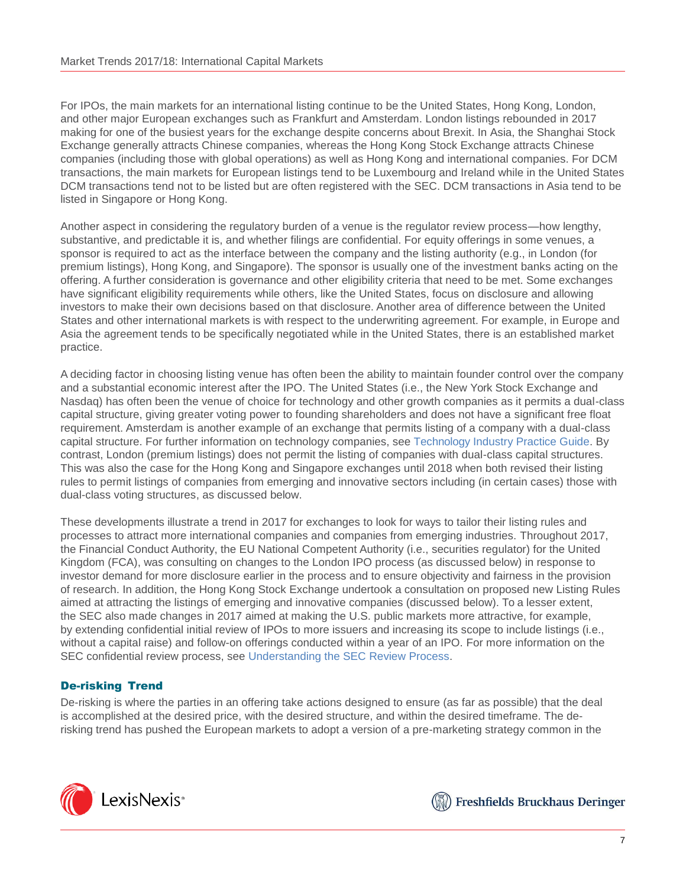For IPOs, the main markets for an international listing continue to be the United States, Hong Kong, London, and other major European exchanges such as Frankfurt and Amsterdam. London listings rebounded in 2017 making for one of the busiest years for the exchange despite concerns about Brexit. In Asia, the Shanghai Stock Exchange generally attracts Chinese companies, whereas the Hong Kong Stock Exchange attracts Chinese companies (including those with global operations) as well as Hong Kong and international companies. For DCM transactions, the main markets for European listings tend to be Luxembourg and Ireland while in the United States DCM transactions tend not to be listed but are often registered with the SEC. DCM transactions in Asia tend to be listed in Singapore or Hong Kong.

Another aspect in considering the regulatory burden of a venue is the regulator review process—how lengthy, substantive, and predictable it is, and whether filings are confidential. For equity offerings in some venues, a sponsor is required to act as the interface between the company and the listing authority (e.g., in London (for premium listings), Hong Kong, and Singapore). The sponsor is usually one of the investment banks acting on the offering. A further consideration is governance and other eligibility criteria that need to be met. Some exchanges have significant eligibility requirements while others, like the United States, focus on disclosure and allowing investors to make their own decisions based on that disclosure. Another area of difference between the United States and other international markets is with respect to the underwriting agreement. For example, in Europe and Asia the agreement tends to be specifically negotiated while in the United States, there is an established market practice.

A deciding factor in choosing listing venue has often been the ability to maintain founder control over the company and a substantial economic interest after the IPO. The United States (i.e., the New York Stock Exchange and Nasdaq) has often been the venue of choice for technology and other growth companies as it permits a dual-class capital structure, giving greater voting power to founding shareholders and does not have a significant free float requirement. Amsterdam is another example of an exchange that permits listing of a company with a dual-class capital structure. For further information on technology companies, see Technology [Industry Practice Guide.](https://advance.lexis.com/open/document/lpadocument/?pdmfid=1000522&crid=303f486c-ae04-4ce8-89bd-0afa63e18464&pddocfullpath=%2Fshared%2Fdocument%2Fanalytical-materials%2Furn%3AcontentItem%3A5N6D-2NT1-F4W2-62MJ-00000-00&pddocid=urn%3AcontentItem%3A5N6D-2NT1-F4W2-62MJ-00000-00&pdcontentcomponentid=101206&pdteaserkey=sr0&pditab=allpods&ecomp=k8_g&earg=sr0&prid=9fefa233-8413-4e78-91be-0188d1b8defa) By contrast, London (premium listings) does not permit the listing of companies with dual-class capital structures. This was also the case for the Hong Kong and Singapore exchanges until 2018 when both revised their listing rules to permit listings of companies from emerging and innovative sectors including (in certain cases) those with dual-class voting structures, as discussed below.

These developments illustrate a trend in 2017 for exchanges to look for ways to tailor their listing rules and processes to attract more international companies and companies from emerging industries. Throughout 2017, the Financial Conduct Authority, the EU National Competent Authority (i.e., securities regulator) for the United Kingdom (FCA), was consulting on changes to the London IPO process (as discussed below) in response to investor demand for more disclosure earlier in the process and to ensure objectivity and fairness in the provision of research. In addition, the Hong Kong Stock Exchange undertook a consultation on proposed new Listing Rules aimed at attracting the listings of emerging and innovative companies (discussed below). To a lesser extent, the SEC also made changes in 2017 aimed at making the U.S. public markets more attractive, for example, by extending confidential initial review of IPOs to more issuers and increasing its scope to include listings (i.e., without a capital raise) and follow-on offerings conducted within a year of an IPO. For more information on the SEC confidential review process, see [Understanding the SEC Review Process.](https://advance.lexis.com/open/document/lpadocument/?pdmfid=1000522&crid=f0e654b0-d6f7-4a59-b1a6-b1ffdaf26403&pddocfullpath=%2Fshared%2Fdocument%2Fanalytical-materials%2Furn%3AcontentItem%3A577X-HHT1-DXPM-S2W9-00000-00&pddocid=urn%3AcontentItem%3A577X-HHT1-DXPM-S2W9-00000-00&pdcontentcomponentid=101206&pdteaserkey=sr0&pditab=allpods&ecomp=k8_g&earg=sr0&prid=5d106678-32c7-4e69-8a53-defc917aa5e7)

# De-risking Trend

De-risking is where the parties in an offering take actions designed to ensure (as far as possible) that the deal is accomplished at the desired price, with the desired structure, and within the desired timeframe. The derisking trend has pushed the European markets to adopt a version of a pre-marketing strategy common in the



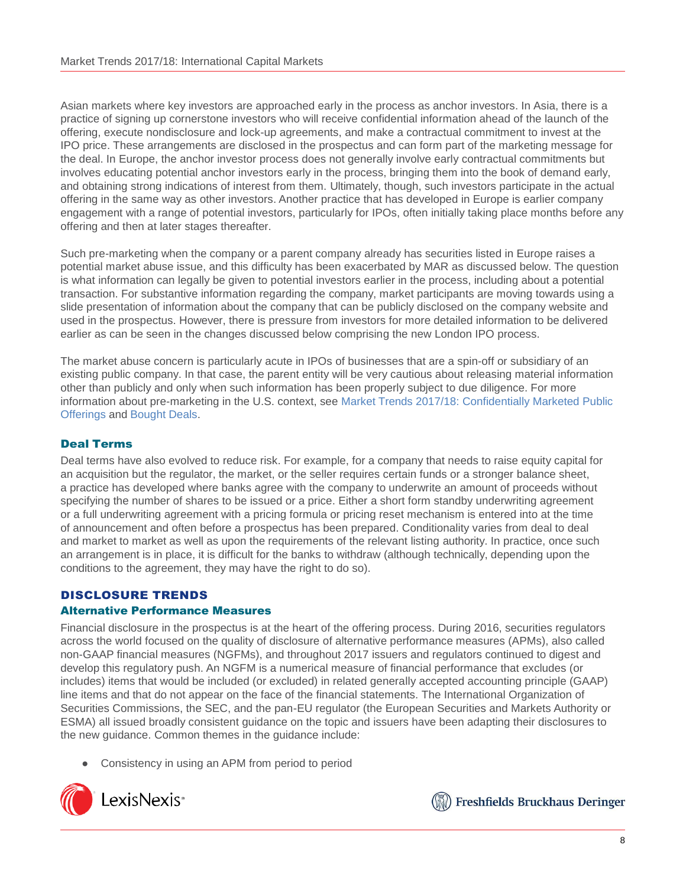Asian markets where key investors are approached early in the process as anchor investors. In Asia, there is a practice of signing up cornerstone investors who will receive confidential information ahead of the launch of the offering, execute nondisclosure and lock-up agreements, and make a contractual commitment to invest at the IPO price. These arrangements are disclosed in the prospectus and can form part of the marketing message for the deal. In Europe, the anchor investor process does not generally involve early contractual commitments but involves educating potential anchor investors early in the process, bringing them into the book of demand early, and obtaining strong indications of interest from them. Ultimately, though, such investors participate in the actual offering in the same way as other investors. Another practice that has developed in Europe is earlier company engagement with a range of potential investors, particularly for IPOs, often initially taking place months before any offering and then at later stages thereafter.

Such pre-marketing when the company or a parent company already has securities listed in Europe raises a potential market abuse issue, and this difficulty has been exacerbated by MAR as discussed below. The question is what information can legally be given to potential investors earlier in the process, including about a potential transaction. For substantive information regarding the company, market participants are moving towards using a slide presentation of information about the company that can be publicly disclosed on the company website and used in the prospectus. However, there is pressure from investors for more detailed information to be delivered earlier as can be seen in the changes discussed below comprising the new London IPO process.

The market abuse concern is particularly acute in IPOs of businesses that are a spin-off or subsidiary of an existing public company. In that case, the parent entity will be very cautious about releasing material information other than publicly and only when such information has been properly subject to due diligence. For more information about pre-marketing in the U.S. context, see Market Trends [2017/18: Confidentially Marketed Public](https://advance.lexis.com/open/document/lpadocument/?pdmfid=1000522&crid=116e0963-1bbd-43e9-8ffe-82bb7ce1a6b5&pddocfullpath=%2Fshared%2Fdocument%2Fanalytical-materials%2Furn%3AcontentItem%3A5SB2-9V81-F4GK-M3HB-00000-00&pddocid=urn%3AcontentItem%3A5SB2-9V81-F4GK-M3HB-00000-00&pdcontentcomponentid=101206&pdteaserkey=sr0&pditab=allpods&ecomp=k8_g&earg=sr0&prid=16f75aa4-ac74-4569-af08-60867078ab4e) [Offerings](https://advance.lexis.com/open/document/lpadocument/?pdmfid=1000522&crid=116e0963-1bbd-43e9-8ffe-82bb7ce1a6b5&pddocfullpath=%2Fshared%2Fdocument%2Fanalytical-materials%2Furn%3AcontentItem%3A5SB2-9V81-F4GK-M3HB-00000-00&pddocid=urn%3AcontentItem%3A5SB2-9V81-F4GK-M3HB-00000-00&pdcontentcomponentid=101206&pdteaserkey=sr0&pditab=allpods&ecomp=k8_g&earg=sr0&prid=16f75aa4-ac74-4569-af08-60867078ab4e) and [Bought](https://advance.lexis.com/open/document/lpadocument/?pdmfid=1000522&crid=750645ce-d21b-4489-9d54-13a669c37b2f&pddocfullpath=%2Fshared%2Fdocument%2Fanalytical-materials%2Furn%3AcontentItem%3A5N1W-R7M1-FFMK-M3HB-00000-00&pddocid=urn%3AcontentItem%3A5N1W-R7M1-FFMK-M3HB-00000-00&pdcontentcomponentid=101206&pdteaserkey=sr0&pditab=allpods&ecomp=k8_g&earg=sr0&prid=d7713449-2040-441a-8e0b-b7da8f841565) Deals.

# Deal Terms

Deal terms have also evolved to reduce risk. For example, for a company that needs to raise equity capital for an acquisition but the regulator, the market, or the seller requires certain funds or a stronger balance sheet, a practice has developed where banks agree with the company to underwrite an amount of proceeds without specifying the number of shares to be issued or a price. Either a short form standby underwriting agreement or a full underwriting agreement with a pricing formula or pricing reset mechanism is entered into at the time of announcement and often before a prospectus has been prepared. Conditionality varies from deal to deal and market to market as well as upon the requirements of the relevant listing authority. In practice, once such an arrangement is in place, it is difficult for the banks to withdraw (although technically, depending upon the conditions to the agreement, they may have the right to do so).

# DISCLOSURE TRENDS

#### Alternative Performance Measures

Financial disclosure in the prospectus is at the heart of the offering process. During 2016, securities regulators across the world focused on the quality of disclosure of alternative performance measures (APMs), also called non-GAAP financial measures (NGFMs), and throughout 2017 issuers and regulators continued to digest and develop this regulatory push. An NGFM is a numerical measure of financial performance that excludes (or includes) items that would be included (or excluded) in related generally accepted accounting principle (GAAP) line items and that do not appear on the face of the financial statements. The International Organization of Securities Commissions, the SEC, and the pan-EU regulator (the European Securities and Markets Authority or ESMA) all issued broadly consistent guidance on the topic and issuers have been adapting their disclosures to the new guidance. Common themes in the guidance include:

Consistency in using an APM from period to period



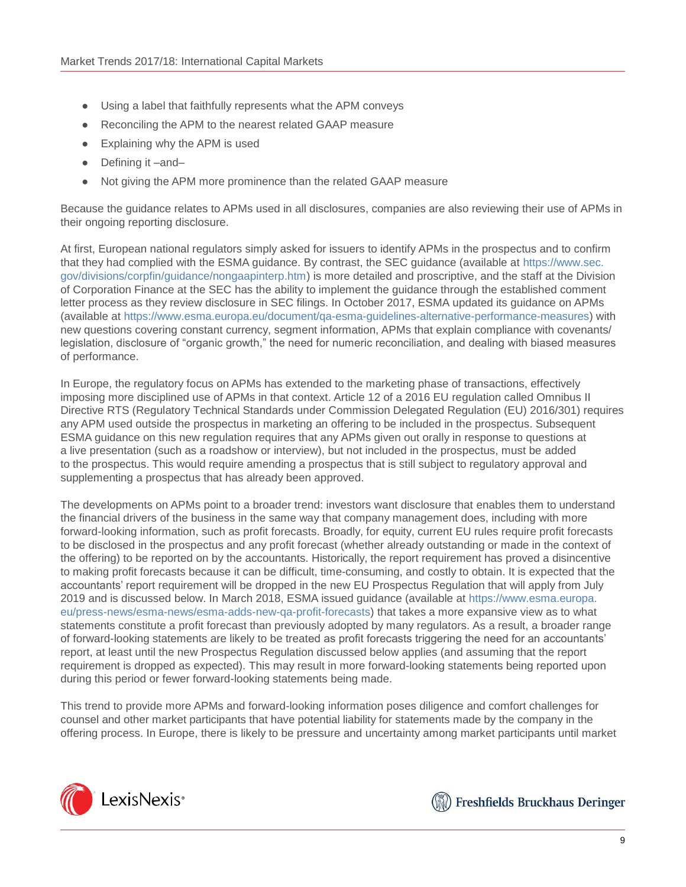- Using a label that faithfully represents what the APM conveys
- Reconciling the APM to the nearest related GAAP measure
- Explaining why the APM is used
- Defining it –and–
- Not giving the APM more prominence than the related GAAP measure

Because the guidance relates to APMs used in all disclosures, companies are also reviewing their use of APMs in their ongoing reporting disclosure.

At first, European national regulators simply asked for issuers to identify APMs in the prospectus and to confirm that they had complied with the ESMA guidance. By contrast, the SEC guidance (available at [https://www.sec.](https://www.sec.gov/divisions/corpfin/guidance/nongaapinterp.htm) [gov/divisions/corpfin/guidance/nongaapinterp.htm\)](https://www.sec.gov/divisions/corpfin/guidance/nongaapinterp.htm) is more detailed and proscriptive, and the staff at the Division of Corporation Finance at the SEC has the ability to implement the guidance through the established comment letter process as they review disclosure in SEC filings. In October 2017, ESMA updated its guidance on APMs (available at [https://www.esma.europa.eu/document/qa-esma-guidelines-alternative-performance-measures\)](https://www.esma.europa.eu/document/qa-esma-guidelines-alternative-performance-measures) with new questions covering constant currency, segment information, APMs that explain compliance with covenants/ legislation, disclosure of "organic growth," the need for numeric reconciliation, and dealing with biased measures of performance.

In Europe, the regulatory focus on APMs has extended to the marketing phase of transactions, effectively imposing more disciplined use of APMs in that context. Article 12 of a 2016 EU regulation called Omnibus II Directive RTS (Regulatory Technical Standards under Commission Delegated Regulation (EU) 2016/301) requires any APM used outside the prospectus in marketing an offering to be included in the prospectus. Subsequent ESMA guidance on this new regulation requires that any APMs given out orally in response to questions at a live presentation (such as a roadshow or interview), but not included in the prospectus, must be added to the prospectus. This would require amending a prospectus that is still subject to regulatory approval and supplementing a prospectus that has already been approved.

The developments on APMs point to a broader trend: investors want disclosure that enables them to understand the financial drivers of the business in the same way that company management does, including with more forward-looking information, such as profit forecasts. Broadly, for equity, current EU rules require profit forecasts to be disclosed in the prospectus and any profit forecast (whether already outstanding or made in the context of the offering) to be reported on by the accountants. Historically, the report requirement has proved a disincentive to making profit forecasts because it can be difficult, time-consuming, and costly to obtain. It is expected that the accountants' report requirement will be dropped in the new EU Prospectus Regulation that will apply from July 2019 and is discussed below. In March 2018, ESMA issued guidance (available at [https://www.esma.europa.](https://www.esma.europa.eu/press-news/esma-news/esma-adds-new-qa-profit-forecasts) [eu/press-news/esma-news/esma-adds-new-qa-profit-forecasts\)](https://www.esma.europa.eu/press-news/esma-news/esma-adds-new-qa-profit-forecasts) that takes a more expansive view as to what statements constitute a profit forecast than previously adopted by many regulators. As a result, a broader range of forward-looking statements are likely to be treated as profit forecasts triggering the need for an accountants' report, at least until the new Prospectus Regulation discussed below applies (and assuming that the report requirement is dropped as expected). This may result in more forward-looking statements being reported upon during this period or fewer forward-looking statements being made.

This trend to provide more APMs and forward-looking information poses diligence and comfort challenges for counsel and other market participants that have potential liability for statements made by the company in the offering process. In Europe, there is likely to be pressure and uncertainty among market participants until market



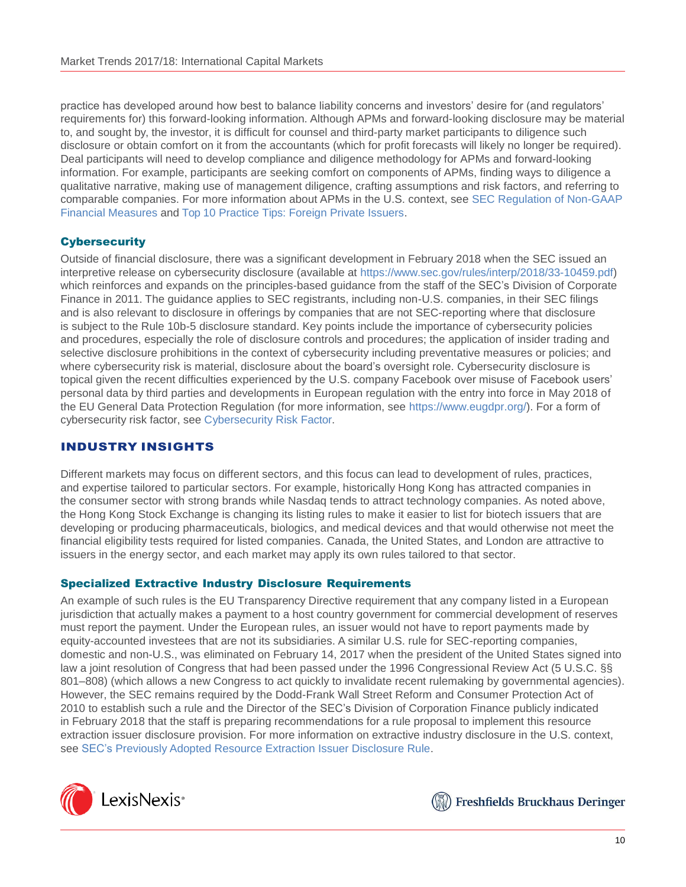practice has developed around how best to balance liability concerns and investors' desire for (and regulators' requirements for) this forward-looking information. Although APMs and forward-looking disclosure may be material to, and sought by, the investor, it is difficult for counsel and third-party market participants to diligence such disclosure or obtain comfort on it from the accountants (which for profit forecasts will likely no longer be required). Deal participants will need to develop compliance and diligence methodology for APMs and forward-looking information. For example, participants are seeking comfort on components of APMs, finding ways to diligence a qualitative narrative, making use of management diligence, crafting assumptions and risk factors, and referring to comparable companies. For more information about APMs in the U.S. context, see [SEC Regulation of Non-GAAP](https://advance.lexis.com/open/document/lpadocument/?pdmfid=1000522&crid=81dafb43-c04f-4298-88b8-10598e1eed03&pddocfullpath=%2Fshared%2Fdocument%2Fanalytical-materials%2Furn%3AcontentItem%3A5SJT-XKD1-JJ1H-X28V-00000-00&pddocid=urn%3AcontentItem%3A5SJT-XKD1-JJ1H-X28V-00000-00&pdcontentcomponentid=101206&pdteaserkey=sr0&pditab=allpods&ecomp=k8_g&earg=sr0&prid=4f6d0e31-f3ab-4813-9b7f-32387eb7bcf9) [Financial Measures](https://advance.lexis.com/open/document/lpadocument/?pdmfid=1000522&crid=81dafb43-c04f-4298-88b8-10598e1eed03&pddocfullpath=%2Fshared%2Fdocument%2Fanalytical-materials%2Furn%3AcontentItem%3A5SJT-XKD1-JJ1H-X28V-00000-00&pddocid=urn%3AcontentItem%3A5SJT-XKD1-JJ1H-X28V-00000-00&pdcontentcomponentid=101206&pdteaserkey=sr0&pditab=allpods&ecomp=k8_g&earg=sr0&prid=4f6d0e31-f3ab-4813-9b7f-32387eb7bcf9) and Top 10 Practice Tips: [Foreign Private Issuers.](https://advance.lexis.com/open/document/lpadocument/?pdmfid=1000522&crid=466f2394-2efe-4c71-885e-6fc5d7d96e74&pddocfullpath=%2Fshared%2Fdocument%2Fanalytical-materials%2Furn%3AcontentItem%3A5P75-BTF1-F22N-X2S4-00000-00&pddocid=urn%3AcontentItem%3A5P75-BTF1-F22N-X2S4-00000-00&pdcontentcomponentid=101206&pdteaserkey=sr0&pditab=allpods&ecomp=k8_g&earg=sr0&prid=b9e7568c-7a72-4e4f-a2b7-021965a5c231)

# **Cybersecurity**

Outside of financial disclosure, there was a significant development in February 2018 when the SEC issued an interpretive release on cybersecurity disclosure (available at [https://www.sec.gov/rules/interp/2018/33-10459.pdf\)](https://www.sec.gov/rules/interp/2018/33-10459.pdf) which reinforces and expands on the principles-based guidance from the staff of the SEC's Division of Corporate Finance in 2011. The guidance applies to SEC registrants, including non-U.S. companies, in their SEC filings and is also relevant to disclosure in offerings by companies that are not SEC-reporting where that disclosure is subject to the Rule 10b-5 disclosure standard. Key points include the importance of cybersecurity policies and procedures, especially the role of disclosure controls and procedures; the application of insider trading and selective disclosure prohibitions in the context of cybersecurity including preventative measures or policies; and where cybersecurity risk is material, disclosure about the board's oversight role. Cybersecurity disclosure is topical given the recent difficulties experienced by the U.S. company Facebook over misuse of Facebook users' personal data by third parties and developments in European regulation with the entry into force in May 2018 of the EU General Data Protection Regulation (for more information, see [https://www.eugdpr.org/\)](https://www.eugdpr.org/). For a form of cybersecurity risk factor, see [Cybersecurity](https://advance.lexis.com/open/document/lpadocument/?pdmfid=1000522&crid=6239070e-79d8-4cae-920e-f72c829867d4&pddocfullpath=%2Fshared%2Fdocument%2Fforms%2Furn%3AcontentItem%3A5K2N-YCD1-JFKM-64MP-00000-00&pddocid=urn%3AcontentItem%3A5K2N-YCD1-JFKM-64MP-00000-00&pdcontentcomponentid=101381&pdteaserkey=sr0&pditab=allpods&ecomp=k8_g&earg=sr0&prid=14857cbe-ecb0-49a5-9244-95ec662ccb5c) Risk Factor.

# INDUSTRY INSIGHTS

Different markets may focus on different sectors, and this focus can lead to development of rules, practices, and expertise tailored to particular sectors. For example, historically Hong Kong has attracted companies in the consumer sector with strong brands while Nasdaq tends to attract technology companies. As noted above, the Hong Kong Stock Exchange is changing its listing rules to make it easier to list for biotech issuers that are developing or producing pharmaceuticals, biologics, and medical devices and that would otherwise not meet the financial eligibility tests required for listed companies. Canada, the United States, and London are attractive to issuers in the energy sector, and each market may apply its own rules tailored to that sector.

# Specialized Extractive Industry Disclosure Requirements

An example of such rules is the EU Transparency Directive requirement that any company listed in a European jurisdiction that actually makes a payment to a host country government for commercial development of reserves must report the payment. Under the European rules, an issuer would not have to report payments made by equity-accounted investees that are not its subsidiaries. A similar U.S. rule for SEC-reporting companies, domestic and non-U.S., was eliminated on February 14, 2017 when the president of the United States signed into law a joint resolution of Congress that had been passed under the 1996 Congressional Review Act (5 U.S.C. §§ 801–808) (which allows a new Congress to act quickly to invalidate recent rulemaking by governmental agencies). However, the SEC remains required by the Dodd-Frank Wall Street Reform and Consumer Protection Act of 2010 to establish such a rule and the Director of the SEC's Division of Corporation Finance publicly indicated in February 2018 that the staff is preparing recommendations for a rule proposal to implement this resource extraction issuer disclosure provision. For more information on extractive industry disclosure in the U.S. context, see SEC's Previously [Adopted Resource Extraction Issuer Disclosure Rule.](https://advance.lexis.com/open/document/lpadocument/?pdmfid=1000522&crid=a526a7be-294b-42b7-887a-2b97907d1559&pddocfullpath=%2Fshared%2Fdocument%2Fanalytical-materials%2Furn%3AcontentItem%3A5MKY-5RH1-JBDT-B169-00000-00&pddocid=urn%3AcontentItem%3A5MKY-5RH1-JBDT-B169-00000-00&pdcontentcomponentid=101206&pdteaserkey=sr0&pditab=allpods&ecomp=k8_g&earg=sr0&prid=89c93dbd-910a-40f5-9094-81b83bcd6c12)



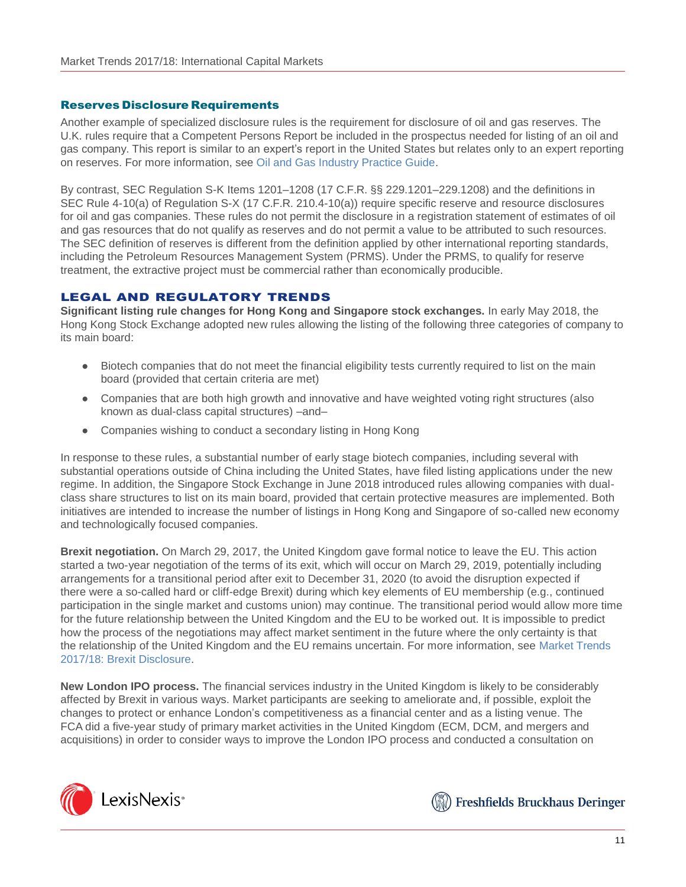## Reserves Disclosure Requirements

Another example of specialized disclosure rules is the requirement for disclosure of oil and gas reserves. The U.K. rules require that a Competent Persons Report be included in the prospectus needed for listing of an oil and gas company. This report is similar to an expert's report in the United States but relates only to an expert reporting on reserves. For more information, see [Oil and Gas Industry Practice Guide.](https://advance.lexis.com/open/document/lpadocument/?pdmfid=1000522&crid=1f182f58-1247-454d-bb5f-24ef5b94261f&pddocfullpath=%2Fshared%2Fdocument%2Fanalytical-materials%2Furn%3AcontentItem%3A5NGX-1JM1-JCBX-S113-00000-00&pddocid=urn%3AcontentItem%3A5NGX-1JM1-JCBX-S113-00000-00&pdcontentcomponentid=101206&pdteaserkey=sr0&pditab=allpods&ecomp=k8_g&earg=sr0&prid=b353ea69-dfcf-41f0-9079-d7b590910022)

By contrast, SEC Regulation S-K Items 1201–1208 (17 C.F.R. §§ 229.1201–229.1208) and the definitions in SEC Rule 4-10(a) of Regulation S-X (17 C.F.R. 210.4-10(a)) require specific reserve and resource disclosures for oil and gas companies. These rules do not permit the disclosure in a registration statement of estimates of oil and gas resources that do not qualify as reserves and do not permit a value to be attributed to such resources. The SEC definition of reserves is different from the definition applied by other international reporting standards, including the Petroleum Resources Management System (PRMS). Under the PRMS, to qualify for reserve treatment, the extractive project must be commercial rather than economically producible.

# LEGAL AND REGULATORY TRENDS

**Significant listing rule changes for Hong Kong and Singapore stock exchanges.** In early May 2018, the Hong Kong Stock Exchange adopted new rules allowing the listing of the following three categories of company to its main board:

- Biotech companies that do not meet the financial eligibility tests currently required to list on the main board (provided that certain criteria are met)
- Companies that are both high growth and innovative and have weighted voting right structures (also known as dual-class capital structures) –and–
- Companies wishing to conduct a secondary listing in Hong Kong

In response to these rules, a substantial number of early stage biotech companies, including several with substantial operations outside of China including the United States, have filed listing applications under the new regime. In addition, the Singapore Stock Exchange in June 2018 introduced rules allowing companies with dualclass share structures to list on its main board, provided that certain protective measures are implemented. Both initiatives are intended to increase the number of listings in Hong Kong and Singapore of so-called new economy and technologically focused companies.

**Brexit negotiation.** On March 29, 2017, the United Kingdom gave formal notice to leave the EU. This action started a two-year negotiation of the terms of its exit, which will occur on March 29, 2019, potentially including arrangements for a transitional period after exit to December 31, 2020 (to avoid the disruption expected if there were a so-called hard or cliff-edge Brexit) during which key elements of EU membership (e.g., continued participation in the single market and customs union) may continue. The transitional period would allow more time for the future relationship between the United Kingdom and the EU to be worked out. It is impossible to predict how the process of the negotiations may affect market sentiment in the future where the only certainty is that the relationship of the United Kingdom and the EU remains uncertain. For more information, see [Market](https://advance.lexis.com/open/document/lpadocument/?pdmfid=1000522&crid=0763a8bf-47a3-4cc2-b1f3-2a9e14237c2f&pddocfullpath=%2Fshared%2Fdocument%2Fanalytical-materials%2Furn%3AcontentItem%3A5SG9-JGF1-JTNR-M4XV-00000-00&pddocid=urn%3AcontentItem%3A5SG9-JGF1-JTNR-M4XV-00000-00&pdcontentcomponentid=101206&pdteaserkey=sr0&pditab=allpods&ecomp=k8_g&earg=sr0&prid=c0b08298-5f47-441b-ba87-1a7fc62242bd) Trends [2017/18: Brexit Disclosure.](https://advance.lexis.com/open/document/lpadocument/?pdmfid=1000522&crid=0763a8bf-47a3-4cc2-b1f3-2a9e14237c2f&pddocfullpath=%2Fshared%2Fdocument%2Fanalytical-materials%2Furn%3AcontentItem%3A5SG9-JGF1-JTNR-M4XV-00000-00&pddocid=urn%3AcontentItem%3A5SG9-JGF1-JTNR-M4XV-00000-00&pdcontentcomponentid=101206&pdteaserkey=sr0&pditab=allpods&ecomp=k8_g&earg=sr0&prid=c0b08298-5f47-441b-ba87-1a7fc62242bd)

**New London IPO process.** The financial services industry in the United Kingdom is likely to be considerably affected by Brexit in various ways. Market participants are seeking to ameliorate and, if possible, exploit the changes to protect or enhance London's competitiveness as a financial center and as a listing venue. The FCA did a five-year study of primary market activities in the United Kingdom (ECM, DCM, and mergers and acquisitions) in order to consider ways to improve the London IPO process and conducted a consultation on



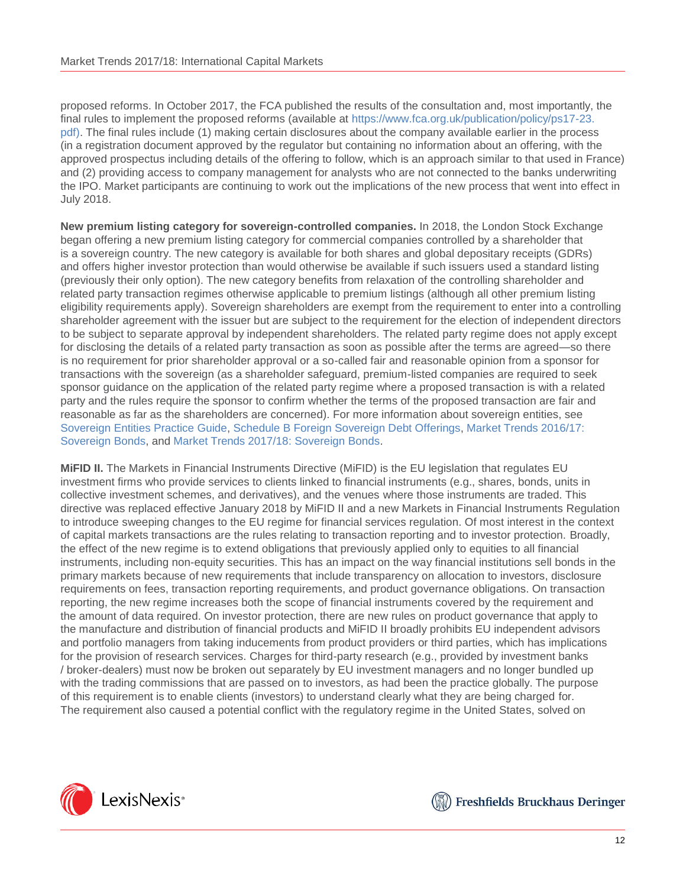proposed reforms. In October 2017, the FCA published the results of the consultation and, most importantly, the final rules to implement the proposed reforms (available at [https://www.fca.org.uk/publication/policy/ps17-23.](https://www.fca.org.uk/publication/policy/ps17-23.pdf) [pdf\).](https://www.fca.org.uk/publication/policy/ps17-23.pdf) The final rules include (1) making certain disclosures about the company available earlier in the process (in a registration document approved by the regulator but containing no information about an offering, with the approved prospectus including details of the offering to follow, which is an approach similar to that used in France) and (2) providing access to company management for analysts who are not connected to the banks underwriting the IPO. Market participants are continuing to work out the implications of the new process that went into effect in July 2018.

**New premium listing category for sovereign-controlled companies.** In 2018, the London Stock Exchange began offering a new premium listing category for commercial companies controlled by a shareholder that is a sovereign country. The new category is available for both shares and global depositary receipts (GDRs) and offers higher investor protection than would otherwise be available if such issuers used a standard listing (previously their only option). The new category benefits from relaxation of the controlling shareholder and related party transaction regimes otherwise applicable to premium listings (although all other premium listing eligibility requirements apply). Sovereign shareholders are exempt from the requirement to enter into a controlling shareholder agreement with the issuer but are subject to the requirement for the election of independent directors to be subject to separate approval by independent shareholders. The related party regime does not apply except for disclosing the details of a related party transaction as soon as possible after the terms are agreed—so there is no requirement for prior shareholder approval or a so-called fair and reasonable opinion from a sponsor for transactions with the sovereign (as a shareholder safeguard, premium-listed companies are required to seek sponsor guidance on the application of the related party regime where a proposed transaction is with a related party and the rules require the sponsor to confirm whether the terms of the proposed transaction are fair and reasonable as far as the shareholders are concerned). For more information about sovereign entities, see [Sovereign](https://advance.lexis.com/open/document/lpadocument/?pdmfid=1000522&crid=855784a4-dcb6-4d20-9eab-4d7f9d47d81a&pddocfullpath=%2Fshared%2Fdocument%2Fanalytical-materials%2Furn%3AcontentItem%3A5N6D-2NT1-F4W2-62MH-00000-00&pddocid=urn%3AcontentItem%3A5N6D-2NT1-F4W2-62MH-00000-00&pdcontentcomponentid=101206&pdteaserkey=sr0&pditab=allpods&ecomp=k8_g&earg=sr0&prid=90047f59-0d3a-4603-8064-6fa33a053777) Entities Practice Guide, Schedule B Foreign Sovereign [Debt Offerings,](https://advance.lexis.com/open/document/lpadocument/?pdmfid=1000522&crid=39efab15-fe62-4b81-8277-12a64c1bf866&pddocfullpath=%2Fshared%2Fdocument%2Fanalytical-materials%2Furn%3AcontentItem%3A5NNK-TSW1-F1H1-203F-00000-00&pddocid=urn%3AcontentItem%3A5NNK-TSW1-F1H1-203F-00000-00&pdcontentcomponentid=101206&pdteaserkey=sr0&pditab=allpods&ecomp=k8_g&earg=sr0&prid=f27d198a-04c5-496e-b959-5818a2fc10fc) Market Trends [2016/17:](https://advance.lexis.com/open/document/lpadocument/?pdmfid=1000522&crid=fdc04ffa-e702-4d52-9e2d-2494033f53e6&pddocfullpath=%2Fshared%2Fdocument%2Fanalytical-materials%2Furn%3AcontentItem%3A5NDT-0XC1-JTNR-M309-00000-00&pddocid=urn%3AcontentItem%3A5NDT-0XC1-JTNR-M309-00000-00&pdcontentcomponentid=101206&pdteaserkey=sr0&pditab=allpods&ecomp=k8_g&earg=sr0&prid=4f7e4b11-cfcb-4c47-8c9b-a1fb5820567e) [Sovereign](https://advance.lexis.com/open/document/lpadocument/?pdmfid=1000522&crid=fdc04ffa-e702-4d52-9e2d-2494033f53e6&pddocfullpath=%2Fshared%2Fdocument%2Fanalytical-materials%2Furn%3AcontentItem%3A5NDT-0XC1-JTNR-M309-00000-00&pddocid=urn%3AcontentItem%3A5NDT-0XC1-JTNR-M309-00000-00&pdcontentcomponentid=101206&pdteaserkey=sr0&pditab=allpods&ecomp=k8_g&earg=sr0&prid=4f7e4b11-cfcb-4c47-8c9b-a1fb5820567e) Bonds, and Market Trends [2017/18: Sovereign Bonds.](https://advance.lexis.com/open/document/lpadocument/?pdmfid=1000522&crid=cd00c8dc-ba6f-42b5-9f24-10095ac5b11d&pddocfullpath=%2Fshared%2Fdocument%2Fanalytical-materials%2Furn%3AcontentItem%3A5S7W-6W71-JGHR-M29Y-00000-00&pddocid=urn%3AcontentItem%3A5S7W-6W71-JGHR-M29Y-00000-00&pdcontentcomponentid=101206&pdteaserkey=sr0&pditab=allpods&ecomp=k8_g&earg=sr0&prid=7836259e-a111-4245-8e93-6fa6353bc9d7)

**MiFID II.** The Markets in Financial Instruments Directive (MiFID) is the EU legislation that regulates EU investment firms who provide services to clients linked to financial instruments (e.g., shares, bonds, units in collective investment schemes, and derivatives), and the venues where those instruments are traded. This directive was replaced effective January 2018 by MiFID II and a new Markets in Financial Instruments Regulation to introduce sweeping changes to the EU regime for financial services regulation. Of most interest in the context of capital markets transactions are the rules relating to transaction reporting and to investor protection. Broadly, the effect of the new regime is to extend obligations that previously applied only to equities to all financial instruments, including non-equity securities. This has an impact on the way financial institutions sell bonds in the primary markets because of new requirements that include transparency on allocation to investors, disclosure requirements on fees, transaction reporting requirements, and product governance obligations. On transaction reporting, the new regime increases both the scope of financial instruments covered by the requirement and the amount of data required. On investor protection, there are new rules on product governance that apply to the manufacture and distribution of financial products and MiFID II broadly prohibits EU independent advisors and portfolio managers from taking inducements from product providers or third parties, which has implications for the provision of research services. Charges for third-party research (e.g., provided by investment banks / broker-dealers) must now be broken out separately by EU investment managers and no longer bundled up with the trading commissions that are passed on to investors, as had been the practice globally. The purpose of this requirement is to enable clients (investors) to understand clearly what they are being charged for. The requirement also caused a potential conflict with the regulatory regime in the United States, solved on



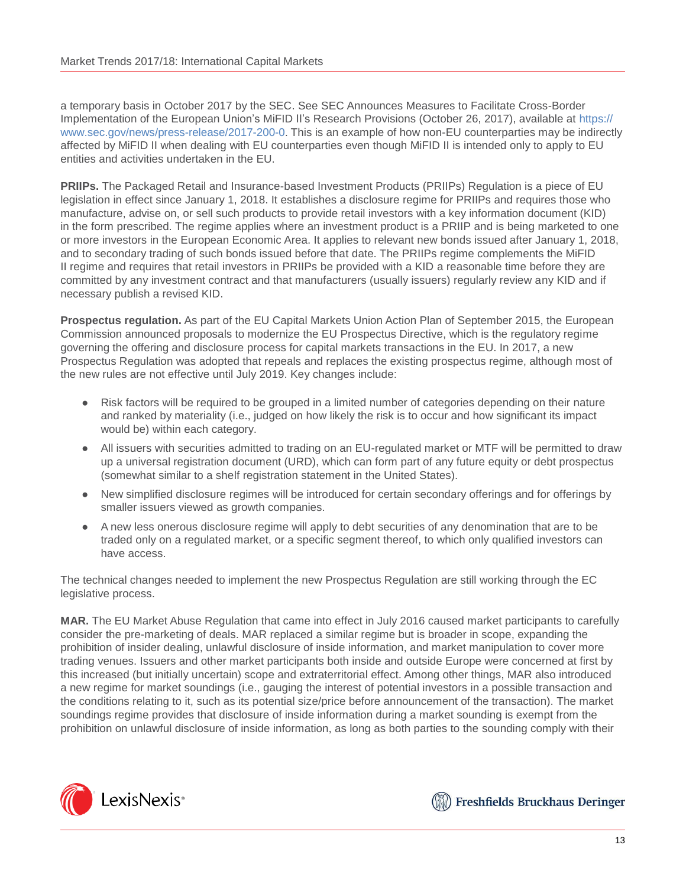a temporary basis in October 2017 by the SEC. See SEC Announces Measures to Facilitate Cross-Border Implementation of the European Union's MiFID II's Research Provisions (October 26, 2017), available at [https://](https://www.sec.gov/news/press-release/2017-200-0) [www.sec.gov/news/press-release/2017-200-0.](https://www.sec.gov/news/press-release/2017-200-0) This is an example of how non-EU counterparties may be indirectly affected by MiFID II when dealing with EU counterparties even though MiFID II is intended only to apply to EU entities and activities undertaken in the EU.

**PRIIPs.** The Packaged Retail and Insurance-based Investment Products (PRIIPs) Regulation is a piece of EU legislation in effect since January 1, 2018. It establishes a disclosure regime for PRIIPs and requires those who manufacture, advise on, or sell such products to provide retail investors with a key information document (KID) in the form prescribed. The regime applies where an investment product is a PRIIP and is being marketed to one or more investors in the European Economic Area. It applies to relevant new bonds issued after January 1, 2018, and to secondary trading of such bonds issued before that date. The PRIIPs regime complements the MiFID II regime and requires that retail investors in PRIIPs be provided with a KID a reasonable time before they are committed by any investment contract and that manufacturers (usually issuers) regularly review any KID and if necessary publish a revised KID.

**Prospectus regulation.** As part of the EU Capital Markets Union Action Plan of September 2015, the European Commission announced proposals to modernize the EU Prospectus Directive, which is the regulatory regime governing the offering and disclosure process for capital markets transactions in the EU. In 2017, a new Prospectus Regulation was adopted that repeals and replaces the existing prospectus regime, although most of the new rules are not effective until July 2019. Key changes include:

- Risk factors will be required to be grouped in a limited number of categories depending on their nature and ranked by materiality (i.e., judged on how likely the risk is to occur and how significant its impact would be) within each category.
- All issuers with securities admitted to trading on an EU-regulated market or MTF will be permitted to draw up a universal registration document (URD), which can form part of any future equity or debt prospectus (somewhat similar to a shelf registration statement in the United States).
- New simplified disclosure regimes will be introduced for certain secondary offerings and for offerings by smaller issuers viewed as growth companies.
- A new less onerous disclosure regime will apply to debt securities of any denomination that are to be traded only on a regulated market, or a specific segment thereof, to which only qualified investors can have access.

The technical changes needed to implement the new Prospectus Regulation are still working through the EC legislative process.

**MAR.** The EU Market Abuse Regulation that came into effect in July 2016 caused market participants to carefully consider the pre-marketing of deals. MAR replaced a similar regime but is broader in scope, expanding the prohibition of insider dealing, unlawful disclosure of inside information, and market manipulation to cover more trading venues. Issuers and other market participants both inside and outside Europe were concerned at first by this increased (but initially uncertain) scope and extraterritorial effect. Among other things, MAR also introduced a new regime for market soundings (i.e., gauging the interest of potential investors in a possible transaction and the conditions relating to it, such as its potential size/price before announcement of the transaction). The market soundings regime provides that disclosure of inside information during a market sounding is exempt from the prohibition on unlawful disclosure of inside information, as long as both parties to the sounding comply with their



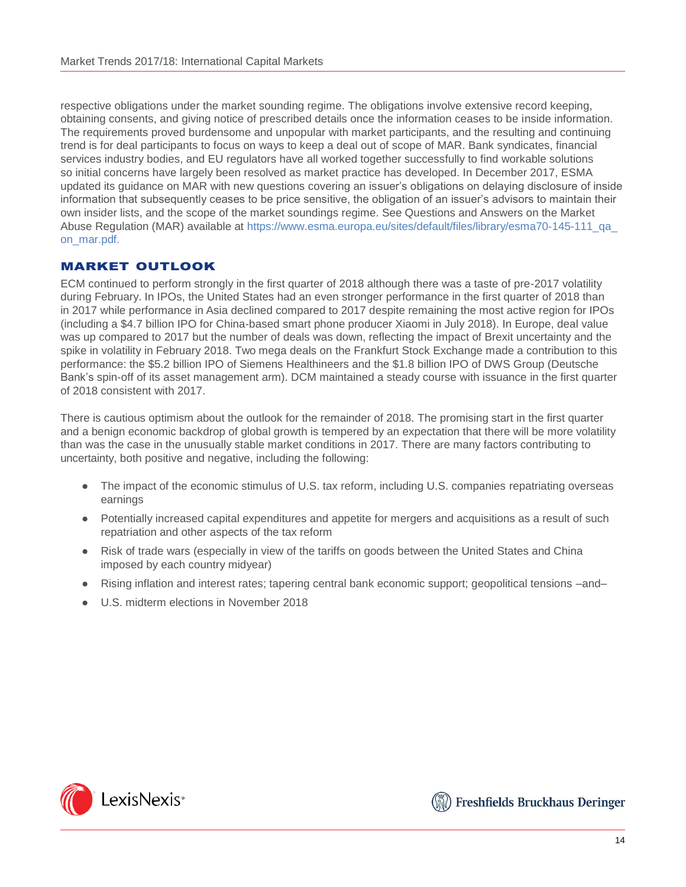respective obligations under the market sounding regime. The obligations involve extensive record keeping, obtaining consents, and giving notice of prescribed details once the information ceases to be inside information. The requirements proved burdensome and unpopular with market participants, and the resulting and continuing trend is for deal participants to focus on ways to keep a deal out of scope of MAR. Bank syndicates, financial services industry bodies, and EU regulators have all worked together successfully to find workable solutions so initial concerns have largely been resolved as market practice has developed. In December 2017, ESMA updated its guidance on MAR with new questions covering an issuer's obligations on delaying disclosure of inside information that subsequently ceases to be price sensitive, the obligation of an issuer's advisors to maintain their own insider lists, and the scope of the market soundings regime. See Questions and Answers on the Market Abuse Regulation (MAR) available at [https://www.esma.europa.eu/sites/default/files/library/esma70-145-111\\_qa\\_](https://www.esma.europa.eu/sites/default/files/library/esma70-145-111_qa_on_mar.pdf) [on\\_mar.pdf.](https://www.esma.europa.eu/sites/default/files/library/esma70-145-111_qa_on_mar.pdf)

# MARKET OUTLOOK

ECM continued to perform strongly in the first quarter of 2018 although there was a taste of pre-2017 volatility during February. In IPOs, the United States had an even stronger performance in the first quarter of 2018 than in 2017 while performance in Asia declined compared to 2017 despite remaining the most active region for IPOs (including a \$4.7 billion IPO for China-based smart phone producer Xiaomi in July 2018). In Europe, deal value was up compared to 2017 but the number of deals was down, reflecting the impact of Brexit uncertainty and the spike in volatility in February 2018. Two mega deals on the Frankfurt Stock Exchange made a contribution to this performance: the \$5.2 billion IPO of Siemens Healthineers and the \$1.8 billion IPO of DWS Group (Deutsche Bank's spin-off of its asset management arm). DCM maintained a steady course with issuance in the first quarter of 2018 consistent with 2017.

There is cautious optimism about the outlook for the remainder of 2018. The promising start in the first quarter and a benign economic backdrop of global growth is tempered by an expectation that there will be more volatility than was the case in the unusually stable market conditions in 2017. There are many factors contributing to uncertainty, both positive and negative, including the following:

- The impact of the economic stimulus of U.S. tax reform, including U.S. companies repatriating overseas earnings
- Potentially increased capital expenditures and appetite for mergers and acquisitions as a result of such repatriation and other aspects of the tax reform
- Risk of trade wars (especially in view of the tariffs on goods between the United States and China imposed by each country midyear)
- Rising inflation and interest rates; tapering central bank economic support; geopolitical tensions –and–
- U.S. midterm elections in November 2018